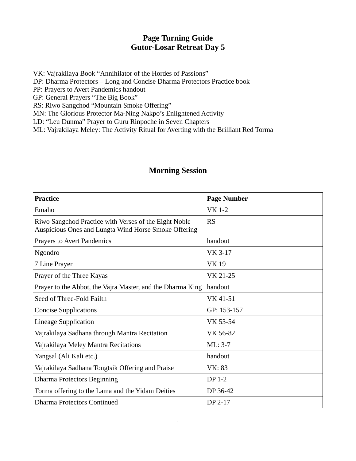## **Page Turning Guide Gutor-Losar Retreat Day 5**

VK: Vajrakilaya Book "Annihilator of the Hordes of Passions" DP: Dharma Protectors – Long and Concise Dharma Protectors Practice book PP: Prayers to Avert Pandemics handout GP: General Prayers "The Big Book" RS: Riwo Sangchod "Mountain Smoke Offering" MN: The Glorious Protector Ma-Ning Nakpo's Enlightened Activity

LD: "Leu Dunma" Prayer to Guru Rinpoche in Seven Chapters

ML: Vajrakilaya Meley: The Activity Ritual for Averting with the Brilliant Red Torma

## **Morning Session**

| <b>Practice</b>                                                                                               | <b>Page Number</b> |
|---------------------------------------------------------------------------------------------------------------|--------------------|
| Emaho                                                                                                         | <b>VK 1-2</b>      |
| Riwo Sangchod Practice with Verses of the Eight Noble<br>Auspicious Ones and Lungta Wind Horse Smoke Offering | <b>RS</b>          |
| <b>Prayers to Avert Pandemics</b>                                                                             | handout            |
| Ngondro                                                                                                       | VK 3-17            |
| 7 Line Prayer                                                                                                 | <b>VK19</b>        |
| Prayer of the Three Kayas                                                                                     | VK 21-25           |
| Prayer to the Abbot, the Vajra Master, and the Dharma King                                                    | handout            |
| Seed of Three-Fold Failth                                                                                     | VK 41-51           |
| <b>Concise Supplications</b>                                                                                  | GP: 153-157        |
| <b>Lineage Supplication</b>                                                                                   | VK 53-54           |
| Vajrakilaya Sadhana through Mantra Recitation                                                                 | VK 56-82           |
| Vajrakilaya Meley Mantra Recitations                                                                          | ML: 3-7            |
| Yangsal (Ali Kali etc.)                                                                                       | handout            |
| Vajrakilaya Sadhana Tongtsik Offering and Praise                                                              | <b>VK: 83</b>      |
| <b>Dharma Protectors Beginning</b>                                                                            | DP 1-2             |
| Torma offering to the Lama and the Yidam Deities                                                              | DP 36-42           |
| <b>Dharma Protectors Continued</b>                                                                            | DP 2-17            |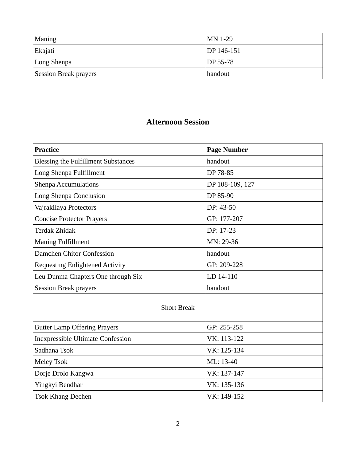| Maning                       | $MN$ 1-29             |
|------------------------------|-----------------------|
| Ekajati                      | DP 146-151            |
| Long Shenpa                  | $\overline{DP}$ 55-78 |
| <b>Session Break prayers</b> | handout               |

## **Afternoon Session**

| Practice                                   | <b>Page Number</b> |
|--------------------------------------------|--------------------|
| <b>Blessing the Fulfillment Substances</b> | handout            |
| Long Shenpa Fulfillment                    | DP 78-85           |
| <b>Shenpa Accumulations</b>                | DP 108-109, 127    |
| Long Shenpa Conclusion                     | DP 85-90           |
| Vajrakilaya Protectors                     | $DP: 43-50$        |
| <b>Concise Protector Prayers</b>           | GP: 177-207        |
| Terdak Zhidak                              | DP: 17-23          |
| <b>Maning Fulfillment</b>                  | MN: 29-36          |
| Damchen Chitor Confession                  | handout            |
| <b>Requesting Enlightened Activity</b>     | GP: 209-228        |
| Leu Dunma Chapters One through Six         | LD 14-110          |
| <b>Session Break prayers</b>               | handout            |

## Short Break

| <b>Butter Lamp Offering Prayers</b>      | GP: 255-258 |
|------------------------------------------|-------------|
| <b>Inexpressible Ultimate Confession</b> | VK: 113-122 |
| Sadhana Tsok                             | VK: 125-134 |
| Meley Tsok                               | ML: 13-40   |
| Dorje Drolo Kangwa                       | VK: 137-147 |
| Yingkyi Bendhar                          | VK: 135-136 |
| <b>Tsok Khang Dechen</b>                 | VK: 149-152 |